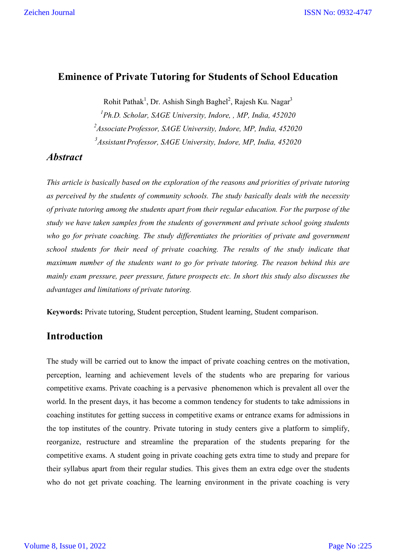#### **Eminence of Private Tutoring for Students of School Education**

Rohit Pathak<sup>1</sup>, Dr. Ashish Singh Baghel<sup>2</sup>, Rajesh Ku. Nagar<sup>3</sup>

*1 Ph.D. Scholar, SAGE University, Indore, , MP, India, 452020 2 Associate Professor, SAGE University, Indore, MP, India, 452020 3 Assistant Professor, SAGE University, Indore, MP, India, 452020*

#### *Abstract*

*This article is basically based on the exploration of the reasons and priorities of private tutoring as perceived by the students of community schools. The study basically deals with the necessity of private tutoring among the students apart from their regular education. For the purpose of the study we have taken samples from the students of government and private school going students who go for private coaching. The study differentiates the priorities of private and government school students for their need of private coaching. The results of the study indicate that maximum number of the students want to go for private tutoring. The reason behind this are mainly exam pressure, peer pressure, future prospects etc. In short this study also discusses the advantages and limitations of private tutoring.*

**Keywords:** Private tutoring, Student perception, Student learning, Student comparison.

### **Introduction**

The study will be carried out to know the impact of private coaching centres on the motivation, perception, learning and achievement levels of the students who are preparing for various competitive exams. Private coaching is a pervasive phenomenon which is prevalent all over the world. In the present days, it has become a common tendency for students to take admissions in coaching institutes for getting success in competitive exams or entrance exams for admissions in the top institutes of the country. Private tutoring in study centers give a platform to simplify, reorganize, restructure and streamline the preparation of the students preparing for the competitive exams. A student going in private coaching gets extra time to study and prepare for their syllabus apart from their regular studies. This gives them an extra edge over the students who do not get private coaching. The learning environment in the private coaching is very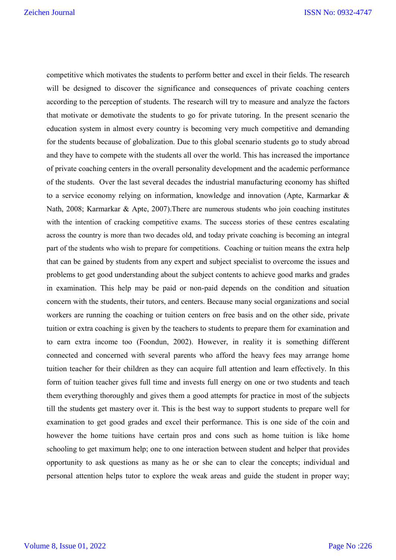competitive which motivates the students to perform better and excel in their fields. The research will be designed to discover the significance and consequences of private coaching centers according to the perception of students. The research will try to measure and analyze the factors that motivate or demotivate the students to go for private tutoring. In the present scenario the education system in almost every country is becoming very much competitive and demanding for the students because of globalization. Due to this global scenario students go to study abroad and they have to compete with the students all over the world. This has increased the importance of private coaching centers in the overall personality development and the academic performance of the students. Over the last several decades the industrial manufacturing economy has shifted to a service economy relying on information, knowledge and innovation (Apte, Karmarkar & Nath, 2008; Karmarkar & Apte, 2007).There are numerous students who join coaching institutes with the intention of cracking competitive exams. The success stories of these centres escalating across the country is more than two decades old, and today private coaching is becoming an integral part of the students who wish to prepare for competitions. Coaching or tuition means the extra help that can be gained by students from any expert and subject specialist to overcome the issues and problems to get good understanding about the subject contents to achieve good marks and grades in examination. This help may be paid or non-paid depends on the condition and situation concern with the students, their tutors, and centers. Because many social organizations and social workers are running the coaching or tuition centers on free basis and on the other side, private tuition or extra coaching is given by the teachers to students to prepare them for examination and to earn extra income too (Foondun, 2002). However, in reality it is something different connected and concerned with several parents who afford the heavy fees may arrange home tuition teacher for their children as they can acquire full attention and learn effectively. In this form of tuition teacher gives full time and invests full energy on one or two students and teach them everything thoroughly and gives them a good attempts for practice in most of the subjects till the students get mastery over it. This is the best way to support students to prepare well for examination to get good grades and excel their performance. This is one side of the coin and however the home tuitions have certain pros and cons such as home tuition is like home schooling to get maximum help; one to one interaction between student and helper that provides opportunity to ask questions as many as he or she can to clear the concepts; individual and personal attention helps tutor to explore the weak areas and guide the student in proper way;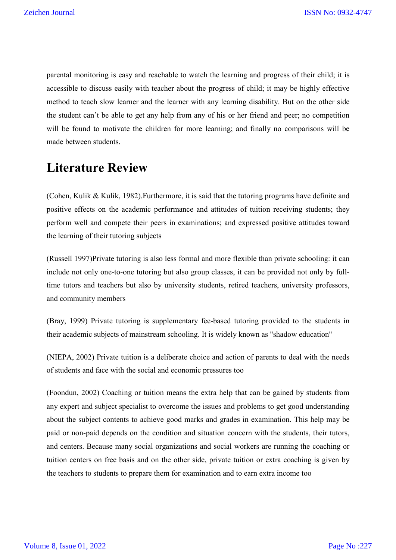parental monitoring is easy and reachable to watch the learning and progress of their child; it is accessible to discuss easily with teacher about the progress of child; it may be highly effective method to teach slow learner and the learner with any learning disability. But on the other side the student can't be able to get any help from any of his or her friend and peer; no competition will be found to motivate the children for more learning; and finally no comparisons will be made between students.

# **Literature Review**

(Cohen, Kulik & Kulik, 1982).Furthermore, it is said that the tutoring programs have definite and positive effects on the academic performance and attitudes of tuition receiving students; they perform well and compete their peers in examinations; and expressed positive attitudes toward the learning of their tutoring subjects

(Russell 1997)Private tutoring is also less formal and more flexible than private schooling: it can include not only one-to-one tutoring but also group classes, it can be provided not only by fulltime tutors and teachers but also by university students, retired teachers, university professors, and community members

(Bray, 1999) Private tutoring is supplementary fee-based tutoring provided to the students in their academic subjects of mainstream schooling. It is widely known as "shadow education"

(NIEPA, 2002) Private tuition is a deliberate choice and action of parents to deal with the needs of students and face with the social and economic pressures too

(Foondun, 2002) Coaching or tuition means the extra help that can be gained by students from any expert and subject specialist to overcome the issues and problems to get good understanding about the subject contents to achieve good marks and grades in examination. This help may be paid or non-paid depends on the condition and situation concern with the students, their tutors, and centers. Because many social organizations and social workers are running the coaching or tuition centers on free basis and on the other side, private tuition or extra coaching is given by the teachers to students to prepare them for examination and to earn extra income too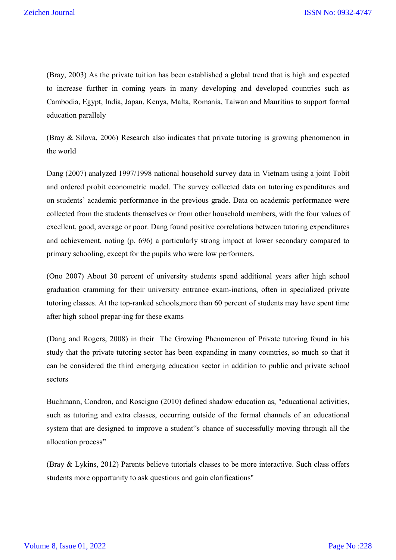(Bray, 2003) As the private tuition has been established a global trend that is high and expected to increase further in coming years in many developing and developed countries such as Cambodia, Egypt, India, Japan, Kenya, Malta, Romania, Taiwan and Mauritius to support formal education parallely

(Bray & Silova, 2006) Research also indicates that private tutoring is growing phenomenon in the world

Dang (2007) analyzed 1997/1998 national household survey data in Vietnam using a joint Tobit and ordered probit econometric model. The survey collected data on tutoring expenditures and on students' academic performance in the previous grade. Data on academic performance were collected from the students themselves or from other household members, with the four values of excellent, good, average or poor. Dang found positive correlations between tutoring expenditures and achievement, noting (p. 696) a particularly strong impact at lower secondary compared to primary schooling, except for the pupils who were low performers.

(Ono 2007) About 30 percent of university students spend additional years after high school graduation cramming for their university entrance exam-inations, often in specialized private tutoring classes. At the top-ranked schools,more than 60 percent of students may have spent time after high school prepar-ing for these exams

(Dang and Rogers, 2008) in their The Growing Phenomenon of Private tutoring found in his study that the private tutoring sector has been expanding in many countries, so much so that it can be considered the third emerging education sector in addition to public and private school sectors

Buchmann, Condron, and Roscigno (2010) defined shadow education as, "educational activities, such as tutoring and extra classes, occurring outside of the formal channels of an educational system that are designed to improve a student"s chance of successfully moving through all the allocation process"

(Bray & Lykins, 2012) Parents believe tutorials classes to be more interactive. Such class offers students more opportunity to ask questions and gain clarifications"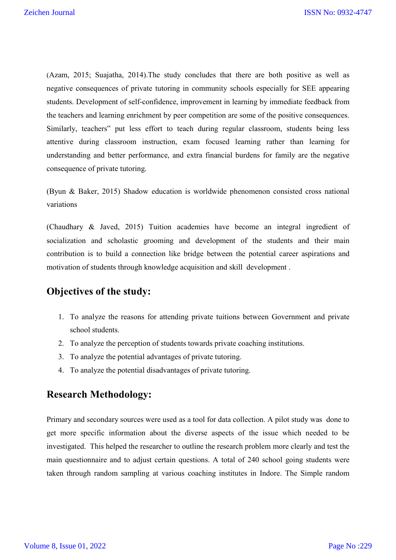(Azam, 2015; Suajatha, 2014).The study concludes that there are both positive as well as negative consequences of private tutoring in community schools especially for SEE appearing students. Development of self-confidence, improvement in learning by immediate feedback from the teachers and learning enrichment by peer competition are some of the positive consequences. Similarly, teachers" put less effort to teach during regular classroom, students being less attentive during classroom instruction, exam focused learning rather than learning for understanding and better performance, and extra financial burdens for family are the negative consequence of private tutoring.

(Byun & Baker, 2015) Shadow education is worldwide phenomenon consisted cross national variations

(Chaudhary & Javed, 2015) Tuition academies have become an integral ingredient of socialization and scholastic grooming and development of the students and their main contribution is to build a connection like bridge between the potential career aspirations and motivation of students through knowledge acquisition and skill development .

### **Objectives of the study:**

- 1. To analyze the reasons for attending private tuitions between Government and private school students.
- 2. To analyze the perception of students towards private coaching institutions.
- 3. To analyze the potential advantages of private tutoring.
- 4. To analyze the potential disadvantages of private tutoring.

## **Research Methodology:**

Primary and secondary sources were used as a tool for data collection. A pilot study was done to get more specific information about the diverse aspects of the issue which needed to be investigated. This helped the researcher to outline the research problem more clearly and test the main questionnaire and to adjust certain questions. A total of 240 school going students were taken through random sampling at various coaching institutes in Indore. The Simple random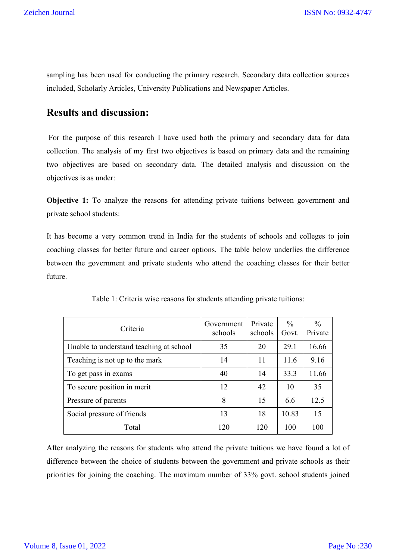sampling has been used for conducting the primary research. Secondary data collection sources included, Scholarly Articles, University Publications and Newspaper Articles.

# **Results and discussion:**

For the purpose of this research I have used both the primary and secondary data for data collection. The analysis of my first two objectives is based on primary data and the remaining two objectives are based on secondary data. The detailed analysis and discussion on the objectives is as under:

**Objective 1:** To analyze the reasons for attending private tuitions between government and private school students:

It has become a very common trend in India for the students of schools and colleges to join coaching classes for better future and career options. The table below underlies the difference between the government and private students who attend the coaching classes for their better future.

| Criteria                                | Government<br>schools | Private<br>schools | $\%$<br>Govt. | $\frac{0}{0}$<br>Private |
|-----------------------------------------|-----------------------|--------------------|---------------|--------------------------|
| Unable to understand teaching at school | 35                    | 20                 | 29.1          | 16.66                    |
| Teaching is not up to the mark          | 14                    | 11                 | 11.6          | 9.16                     |
| To get pass in exams                    | 40                    | 14                 | 33.3          | 11.66                    |
| To secure position in merit             | 12                    | 42                 | 10            | 35                       |
| Pressure of parents                     | 8                     | 15                 | 6.6           | 12.5                     |
| Social pressure of friends              | 13                    | 18                 | 10.83         | 15                       |
| Total                                   | 120                   | 120                | 100           | 100                      |

Table 1: Criteria wise reasons for students attending private tuitions:

After analyzing the reasons for students who attend the private tuitions we have found a lot of difference between the choice of students between the government and private schools as their priorities for joining the coaching. The maximum number of 33% govt. school students joined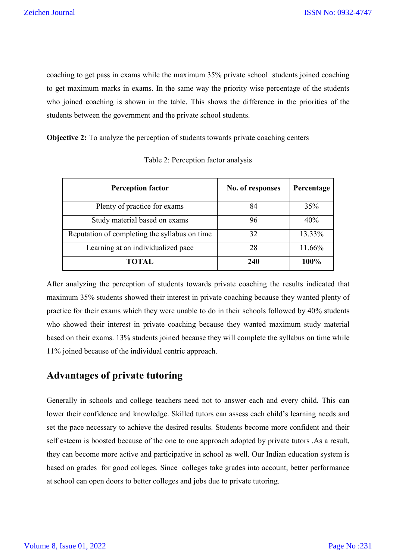coaching to get pass in exams while the maximum 35% private school students joined coaching to get maximum marks in exams. In the same way the priority wise percentage of the students who joined coaching is shown in the table. This shows the difference in the priorities of the students between the government and the private school students.

**Objective 2:** To analyze the perception of students towards private coaching centers

| <b>Perception factor</b>                      | No. of responses | Percentage |
|-----------------------------------------------|------------------|------------|
| Plenty of practice for exams                  | 84               | 35%        |
| Study material based on exams                 | 96               | 40%        |
| Reputation of completing the syllabus on time | 32               | 13.33%     |
| Learning at an individualized pace            | 28               | 11.66%     |
| TOTAL.                                        | 240              | 100%       |

Table 2: Perception factor analysis

After analyzing the perception of students towards private coaching the results indicated that maximum 35% students showed their interest in private coaching because they wanted plenty of practice for their exams which they were unable to do in their schools followed by 40% students who showed their interest in private coaching because they wanted maximum study material based on their exams. 13% students joined because they will complete the syllabus on time while 11% joined because of the individual centric approach.

### **Advantages of private tutoring**

Generally in schools and college teachers need not to answer each and every child. This can lower their confidence and knowledge. Skilled tutors can assess each child's learning needs and set the pace necessary to achieve the desired results. Students become more confident and their self esteem is boosted because of the one to one approach adopted by private tutors .As a result, they can become more active and participative in school as well. Our Indian education system is based on grades for good colleges. Since colleges take grades into account, better performance at school can open doors to better colleges and jobs due to private tutoring.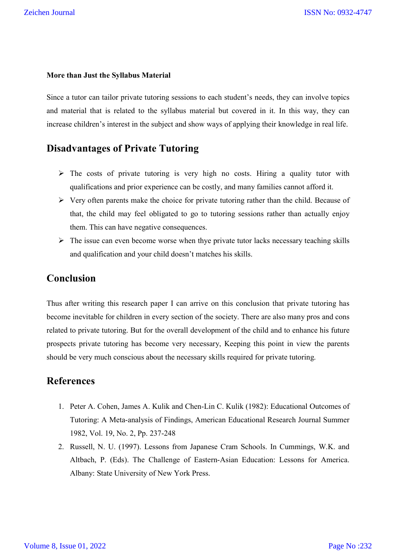#### **More than Just the Syllabus Material**

Since a tutor can tailor private tutoring sessions to each student's needs, they can involve topics and material that is related to the syllabus material but covered in it. In this way, they can increase children's interest in the subject and show ways of applying their knowledge in real life.

### **Disadvantages of Private Tutoring**

- $\triangleright$  The costs of private tutoring is very high no costs. Hiring a quality tutor with qualifications and prior experience can be costly, and many families cannot afford it.
- $\triangleright$  Very often parents make the choice for private tutoring rather than the child. Because of that, the child may feel obligated to go to tutoring sessions rather than actually enjoy them. This can have negative consequences.
- $\triangleright$  The issue can even become worse when thye private tutor lacks necessary teaching skills and qualification and your child doesn't matches his skills.

#### **Conclusion**

Thus after writing this research paper I can arrive on this conclusion that private tutoring has become inevitable for children in every section of the society. There are also many pros and cons related to private tutoring. But for the overall development of the child and to enhance his future prospects private tutoring has become very necessary, Keeping this point in view the parents should be very much conscious about the necessary skills required for private tutoring.

#### **References**

- 1. Peter A. Cohen, James A. Kulik and Chen-Lin C. Kulik (1982): Educational Outcomes of Tutoring: A Meta-analysis of Findings, American Educational Research Journal Summer 1982, Vol. 19, No. 2, Pp. 237-248
- 2. Russell, N. U. (1997). Lessons from Japanese Cram Schools. In Cummings, W.K. and Altbach, P. (Eds). The Challenge of Eastern-Asian Education: Lessons for America. Albany: State University of New York Press.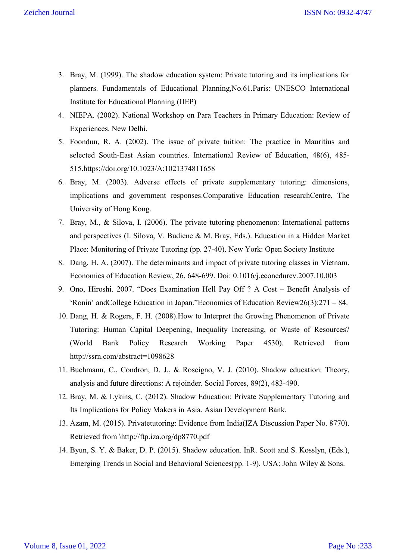- 3. Bray, M. (1999). The shadow education system: Private tutoring and its implications for planners. Fundamentals of Educational Planning,No.61.Paris: UNESCO International Institute for Educational Planning (IIEP)
- 4. NIEPA. (2002). National Workshop on Para Teachers in Primary Education: Review of Experiences. New Delhi.
- 5. Foondun, R. A. (2002). The issue of private tuition: The practice in Mauritius and selected South-East Asian countries. International Review of Education, 48(6), 485- 515.https://doi.org/10.1023/A:1021374811658
- 6. Bray, M. (2003). Adverse effects of private supplementary tutoring: dimensions, implications and government responses.Comparative Education researchCentre, The University of Hong Kong.
- 7. Bray, M., & Silova, I. (2006). The private tutoring phenomenon: International patterns and perspectives (I. Silova, V. Budiene & M. Bray, Eds.). Education in a Hidden Market Place: Monitoring of Private Tutoring (pp. 27-40). New York: Open Society Institute
- 8. Dang, H. A. (2007). The determinants and impact of private tutoring classes in Vietnam. Economics of Education Review, 26, 648-699. Doi: 0.1016/j.econedurev.2007.10.003
- 9. Ono, Hiroshi. 2007. "Does Examination Hell Pay Off ? A Cost Benefit Analysis of 'Ronin' andCollege Education in Japan."Economics of Education Review26(3):271 – 84.
- 10. Dang, H. & Rogers, F. H. (2008).How to Interpret the Growing Phenomenon of Private Tutoring: Human Capital Deepening, Inequality Increasing, or Waste of Resources? (World Bank Policy Research Working Paper 4530). Retrieved from http://ssrn.com/abstract=1098628
- 11. Buchmann, C., Condron, D. J., & Roscigno, V. J. (2010). Shadow education: Theory, analysis and future directions: A rejoinder. Social Forces, 89(2), 483-490.
- 12. Bray, M. & Lykins, C. (2012). Shadow Education: Private Supplementary Tutoring and Its Implications for Policy Makers in Asia. Asian Development Bank.
- 13. Azam, M. (2015). Privatetutoring: Evidence from India(IZA Discussion Paper No. 8770). Retrieved from \http://ftp.iza.org/dp8770.pdf
- 14. Byun, S. Y. & Baker, D. P. (2015). Shadow education. InR. Scott and S. Kosslyn, (Eds.), Emerging Trends in Social and Behavioral Sciences(pp. 1-9). USA: John Wiley & Sons.